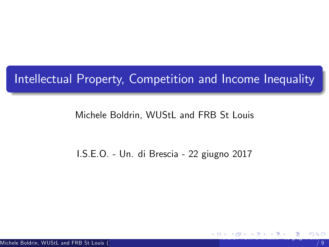## Intellectual Property, Competition and Income Inequality

## Michele Boldrin, WUStL and FRB St Louis

## <span id="page-0-0"></span>I.S.E.O. - Un. di Brescia - 22 giugno 2017

Michele Boldrin, WUStL and FRB St Louis ()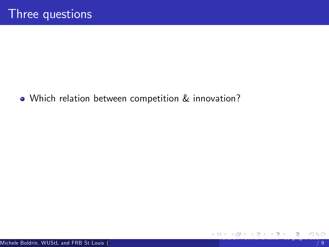<span id="page-1-0"></span>Which relation between competition & innovation?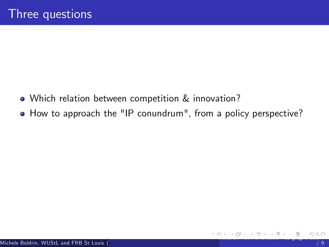- Which relation between competition & innovation?
- <span id="page-2-0"></span> $\bullet$  How to approach the "IP conundrum", from a policy perspective?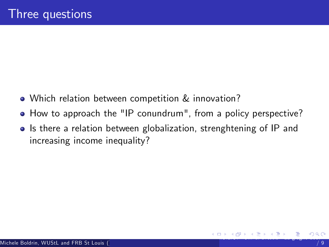- Which relation between competition & innovation?
- How to approach the "IP conundrum", from a policy perspective?
- <span id="page-3-0"></span>• Is there a relation between globalization, strenghtening of IP and increasing income inequality?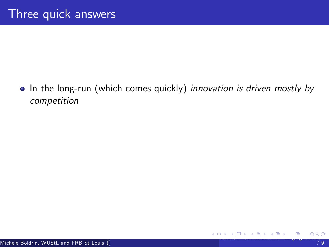<span id="page-4-0"></span>• In the long-run (which comes quickly) innovation is driven mostly by competition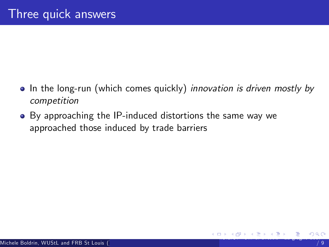- In the long-run (which comes quickly) innovation is driven mostly by competition
- <span id="page-5-0"></span>By approaching the IP-induced distortions the same way we approached those induced by trade barriers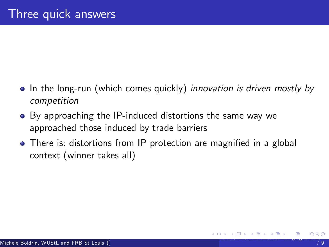- In the long-run (which comes quickly) *innovation is driven mostly by* competition
- By approaching the IP-induced distortions the same way we approached those induced by trade barriers
- <span id="page-6-0"></span>• There is: distortions from IP protection are magnified in a global context (winner takes all)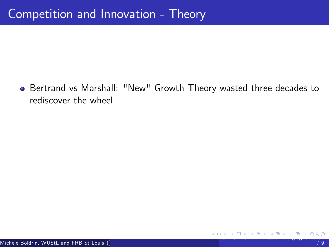<span id="page-7-0"></span>Bertrand vs Marshall: "New" Growth Theory wasted three decades to rediscover the wheel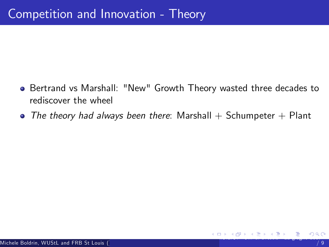- **Bertrand vs Marshall: "New" Growth Theory wasted three decades to** rediscover the wheel
- <span id="page-8-0"></span> $\bullet$  The theory had always been there: Marshall  $+$  Schumpeter  $+$  Plant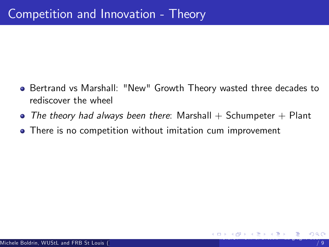- **Bertrand vs Marshall: "New" Growth Theory wasted three decades to** rediscover the wheel
- $\bullet$  The theory had always been there: Marshall  $+$  Schumpeter  $+$  Plant
- <span id="page-9-0"></span>**•** There is no competition without imitation cum improvement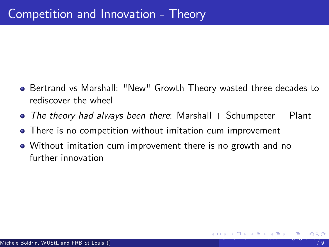- **Bertrand vs Marshall: "New" Growth Theory wasted three decades to** rediscover the wheel
- $\bullet$  The theory had always been there: Marshall  $+$  Schumpeter  $+$  Plant
- **•** There is no competition without imitation cum improvement
- <span id="page-10-0"></span>Without imitation cum improvement there is no growth and no further innovation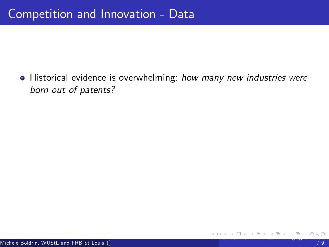<span id="page-11-0"></span>• Historical evidence is overwhelming: how many new industries were born out of patents?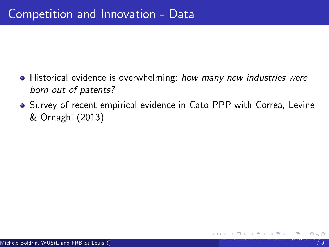- Historical evidence is overwhelming: how many new industries were born out of patents?
- <span id="page-12-0"></span>• Survey of recent empirical evidence in Cato PPP with Correa, Levine & Ornaghi (2013)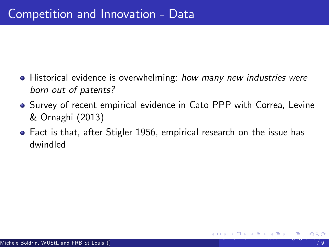- Historical evidence is overwhelming: how many new industries were born out of patents?
- **•** Survey of recent empirical evidence in Cato PPP with Correa, Levine & Ornaghi (2013)
- <span id="page-13-0"></span>Fact is that, after Stigler 1956, empirical research on the issue has dwindled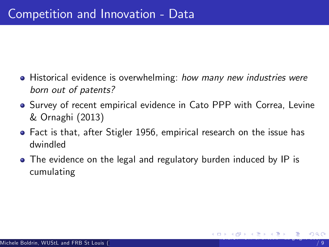- Historical evidence is overwhelming: how many new industries were born out of patents?
- Survey of recent empirical evidence in Cato PPP with Correa, Levine & Ornaghi (2013)
- Fact is that, after Stigler 1956, empirical research on the issue has dwindled
- <span id="page-14-0"></span>• The evidence on the legal and regulatory burden induced by IP is cumulating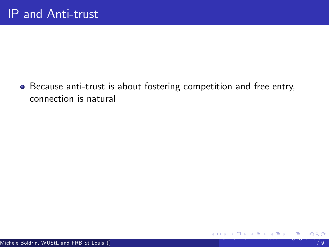<span id="page-15-0"></span>Because anti-trust is about fostering competition and free entry, connection is natural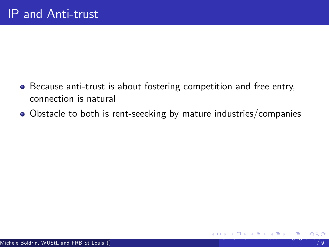- Because anti-trust is about fostering competition and free entry, connection is natural
- <span id="page-16-0"></span>Obstacle to both is rent-seeeking by mature industries/companies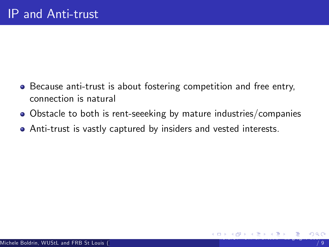- Because anti-trust is about fostering competition and free entry, connection is natural
- Obstacle to both is rent-seeeking by mature industries/companies
- <span id="page-17-0"></span>Anti-trust is vastly captured by insiders and vested interests.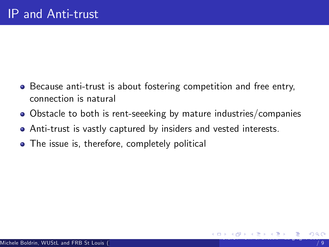- Because anti-trust is about fostering competition and free entry, connection is natural
- Obstacle to both is rent-seeeking by mature industries/companies
- Anti-trust is vastly captured by insiders and vested interests.
- <span id="page-18-0"></span>• The issue is, therefore, completely political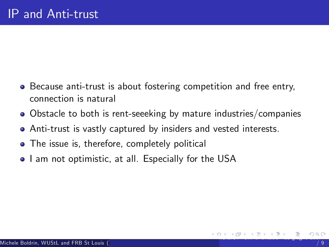- Because anti-trust is about fostering competition and free entry, connection is natural
- Obstacle to both is rent-seeeking by mature industries/companies
- Anti-trust is vastly captured by insiders and vested interests.
- The issue is, therefore, completely political
- <span id="page-19-0"></span>• I am not optimistic, at all. Especially for the USA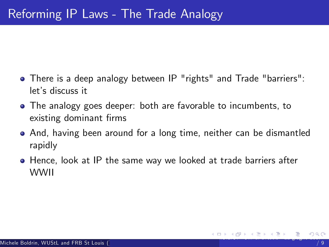- There is a deep analogy between IP "rights" and Trade "barriers": let's discuss it
- The analogy goes deeper: both are favorable to incumbents, to existing dominant firms
- And, having been around for a long time, neither can be dismantled rapidly
- <span id="page-20-0"></span>Hence, look at IP the same way we looked at trade barriers after WWII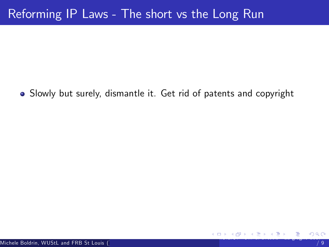<span id="page-21-0"></span>Slowly but surely, dismantle it. Get rid of patents and copyright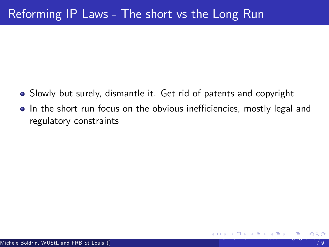- Slowly but surely, dismantle it. Get rid of patents and copyright
- <span id="page-22-0"></span>• In the short run focus on the obvious inefficiencies, mostly legal and regulatory constraints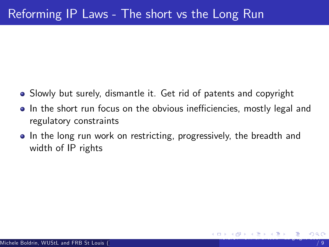- Slowly but surely, dismantle it. Get rid of patents and copyright
- In the short run focus on the obvious inefficiencies, mostly legal and regulatory constraints
- <span id="page-23-0"></span>• In the long run work on restricting, progressively, the breadth and width of IP rights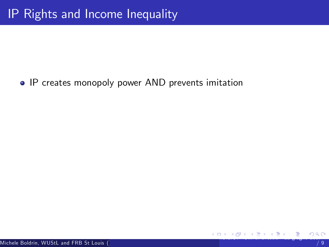## <span id="page-24-0"></span>**• IP creates monopoly power AND prevents imitation**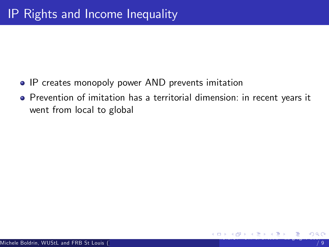- **IP creates monopoly power AND prevents imitation**
- <span id="page-25-0"></span>Prevention of imitation has a territorial dimension: in recent years it went from local to global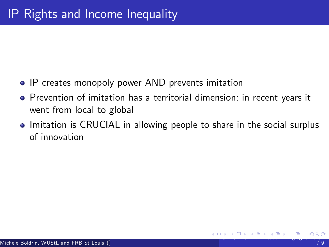- **IP creates monopoly power AND prevents imitation**
- Prevention of imitation has a territorial dimension: in recent years it went from local to global
- <span id="page-26-0"></span>• Imitation is CRUCIAL in allowing people to share in the social surplus of innovation